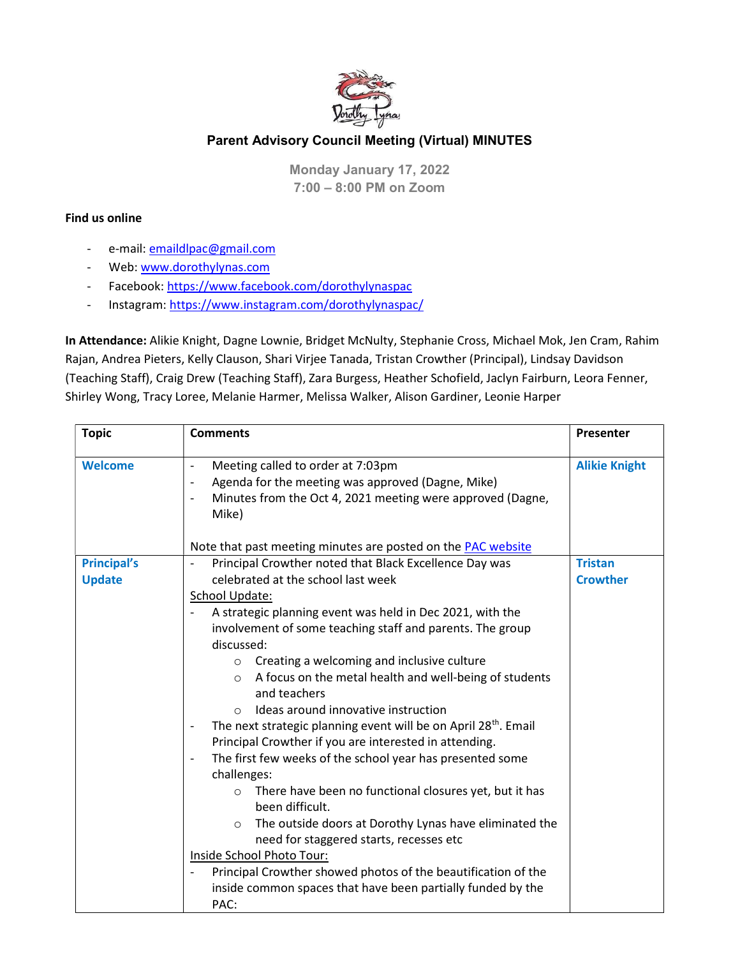

## Parent Advisory Council Meeting (Virtual) MINUTES

Monday January 17, 2022 7:00 – 8:00 PM on Zoom

## Find us online

- e-mail: emaildlpac@gmail.com
- Web: www.dorothylynas.com
- Facebook: https://www.facebook.com/dorothylynaspac
- Instagram: https://www.instagram.com/dorothylynaspac/

In Attendance: Alikie Knight, Dagne Lownie, Bridget McNulty, Stephanie Cross, Michael Mok, Jen Cram, Rahim Rajan, Andrea Pieters, Kelly Clauson, Shari Virjee Tanada, Tristan Crowther (Principal), Lindsay Davidson (Teaching Staff), Craig Drew (Teaching Staff), Zara Burgess, Heather Schofield, Jaclyn Fairburn, Leora Fenner, Shirley Wong, Tracy Loree, Melanie Harmer, Melissa Walker, Alison Gardiner, Leonie Harper

| <b>Topic</b>                        | <b>Comments</b>                                                                                                                                                                                                                                                                                                                                                                                                                                                                                                                                                                                                                                                                                                                                                                                                                                                                                                     | <b>Presenter</b>                  |
|-------------------------------------|---------------------------------------------------------------------------------------------------------------------------------------------------------------------------------------------------------------------------------------------------------------------------------------------------------------------------------------------------------------------------------------------------------------------------------------------------------------------------------------------------------------------------------------------------------------------------------------------------------------------------------------------------------------------------------------------------------------------------------------------------------------------------------------------------------------------------------------------------------------------------------------------------------------------|-----------------------------------|
| <b>Welcome</b>                      | Meeting called to order at 7:03pm<br>$\qquad \qquad -$<br>Agenda for the meeting was approved (Dagne, Mike)<br>Minutes from the Oct 4, 2021 meeting were approved (Dagne,<br>Mike)                                                                                                                                                                                                                                                                                                                                                                                                                                                                                                                                                                                                                                                                                                                                  | <b>Alikie Knight</b>              |
|                                     | Note that past meeting minutes are posted on the <b>PAC</b> website                                                                                                                                                                                                                                                                                                                                                                                                                                                                                                                                                                                                                                                                                                                                                                                                                                                 |                                   |
| <b>Principal's</b><br><b>Update</b> | Principal Crowther noted that Black Excellence Day was<br>celebrated at the school last week<br>School Update:<br>A strategic planning event was held in Dec 2021, with the<br>involvement of some teaching staff and parents. The group<br>discussed:<br>Creating a welcoming and inclusive culture<br>$\circ$<br>A focus on the metal health and well-being of students<br>$\circ$<br>and teachers<br>Ideas around innovative instruction<br>$\bigcirc$<br>The next strategic planning event will be on April 28 <sup>th</sup> . Email<br>Principal Crowther if you are interested in attending.<br>The first few weeks of the school year has presented some<br>challenges:<br>There have been no functional closures yet, but it has<br>$\circ$<br>been difficult.<br>The outside doors at Dorothy Lynas have eliminated the<br>$\circ$<br>need for staggered starts, recesses etc<br>Inside School Photo Tour: | <b>Tristan</b><br><b>Crowther</b> |
|                                     | Principal Crowther showed photos of the beautification of the<br>inside common spaces that have been partially funded by the<br>PAC:                                                                                                                                                                                                                                                                                                                                                                                                                                                                                                                                                                                                                                                                                                                                                                                |                                   |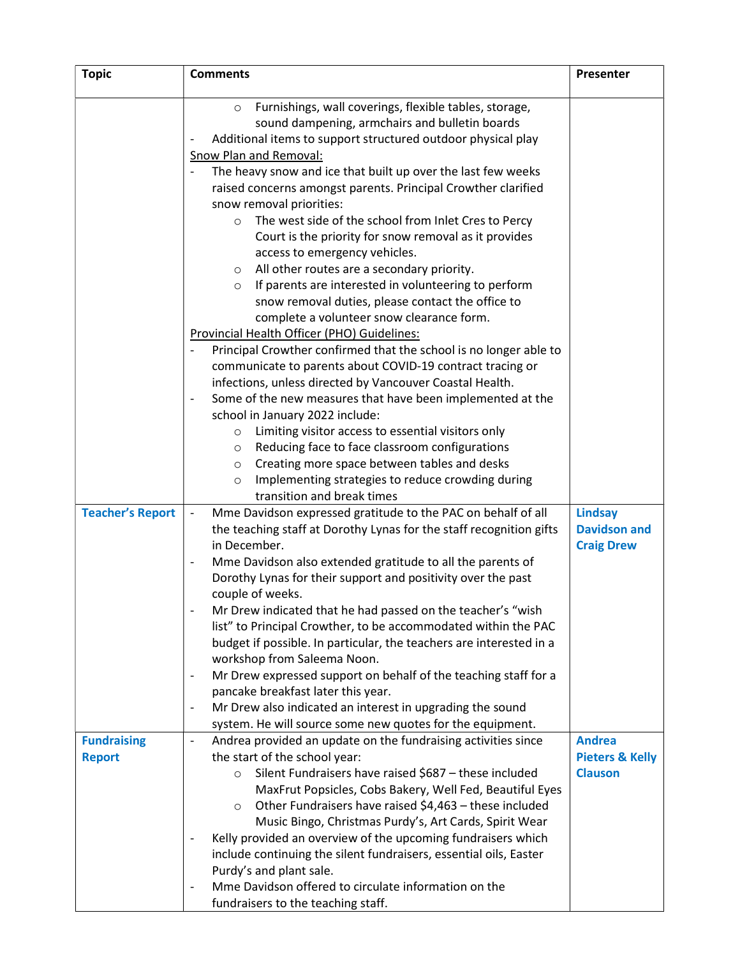| <b>Topic</b>                        | <b>Comments</b>                                                                                                                                                                                                                                                                                                                                                                                                                                                                                                                                                                                                                                                                                                                                                                                                                                                                                                                                                                                                                                                                                                                                                                                                                                                                                              | Presenter                                                     |
|-------------------------------------|--------------------------------------------------------------------------------------------------------------------------------------------------------------------------------------------------------------------------------------------------------------------------------------------------------------------------------------------------------------------------------------------------------------------------------------------------------------------------------------------------------------------------------------------------------------------------------------------------------------------------------------------------------------------------------------------------------------------------------------------------------------------------------------------------------------------------------------------------------------------------------------------------------------------------------------------------------------------------------------------------------------------------------------------------------------------------------------------------------------------------------------------------------------------------------------------------------------------------------------------------------------------------------------------------------------|---------------------------------------------------------------|
|                                     | Furnishings, wall coverings, flexible tables, storage,<br>$\circ$<br>sound dampening, armchairs and bulletin boards<br>Additional items to support structured outdoor physical play<br>Snow Plan and Removal:<br>The heavy snow and ice that built up over the last few weeks<br>raised concerns amongst parents. Principal Crowther clarified<br>snow removal priorities:<br>The west side of the school from Inlet Cres to Percy<br>$\circ$<br>Court is the priority for snow removal as it provides<br>access to emergency vehicles.<br>All other routes are a secondary priority.<br>$\circ$<br>If parents are interested in volunteering to perform<br>$\circ$<br>snow removal duties, please contact the office to<br>complete a volunteer snow clearance form.<br>Provincial Health Officer (PHO) Guidelines:<br>Principal Crowther confirmed that the school is no longer able to<br>communicate to parents about COVID-19 contract tracing or<br>infections, unless directed by Vancouver Coastal Health.<br>Some of the new measures that have been implemented at the<br>school in January 2022 include:<br>Limiting visitor access to essential visitors only<br>$\circ$<br>Reducing face to face classroom configurations<br>$\circ$<br>Creating more space between tables and desks<br>$\circ$ |                                                               |
|                                     | Implementing strategies to reduce crowding during<br>$\circ$<br>transition and break times                                                                                                                                                                                                                                                                                                                                                                                                                                                                                                                                                                                                                                                                                                                                                                                                                                                                                                                                                                                                                                                                                                                                                                                                                   |                                                               |
| <b>Teacher's Report</b>             | Mme Davidson expressed gratitude to the PAC on behalf of all<br>$\overline{\phantom{a}}$<br>the teaching staff at Dorothy Lynas for the staff recognition gifts<br>in December.<br>Mme Davidson also extended gratitude to all the parents of<br>Dorothy Lynas for their support and positivity over the past<br>couple of weeks.<br>Mr Drew indicated that he had passed on the teacher's "wish<br>list" to Principal Crowther, to be accommodated within the PAC<br>budget if possible. In particular, the teachers are interested in a<br>workshop from Saleema Noon.<br>Mr Drew expressed support on behalf of the teaching staff for a<br>$\overline{\phantom{a}}$<br>pancake breakfast later this year.<br>Mr Drew also indicated an interest in upgrading the sound<br>$\overline{\phantom{a}}$<br>system. He will source some new quotes for the equipment.                                                                                                                                                                                                                                                                                                                                                                                                                                          | <b>Lindsay</b><br><b>Davidson and</b><br><b>Craig Drew</b>    |
| <b>Fundraising</b><br><b>Report</b> | Andrea provided an update on the fundraising activities since<br>$\overline{\phantom{a}}$<br>the start of the school year:<br>Silent Fundraisers have raised \$687 - these included<br>$\circ$<br>MaxFrut Popsicles, Cobs Bakery, Well Fed, Beautiful Eyes<br>Other Fundraisers have raised \$4,463 - these included<br>$\circ$<br>Music Bingo, Christmas Purdy's, Art Cards, Spirit Wear<br>Kelly provided an overview of the upcoming fundraisers which<br>include continuing the silent fundraisers, essential oils, Easter<br>Purdy's and plant sale.<br>Mme Davidson offered to circulate information on the                                                                                                                                                                                                                                                                                                                                                                                                                                                                                                                                                                                                                                                                                            | <b>Andrea</b><br><b>Pieters &amp; Kelly</b><br><b>Clauson</b> |
|                                     | fundraisers to the teaching staff.                                                                                                                                                                                                                                                                                                                                                                                                                                                                                                                                                                                                                                                                                                                                                                                                                                                                                                                                                                                                                                                                                                                                                                                                                                                                           |                                                               |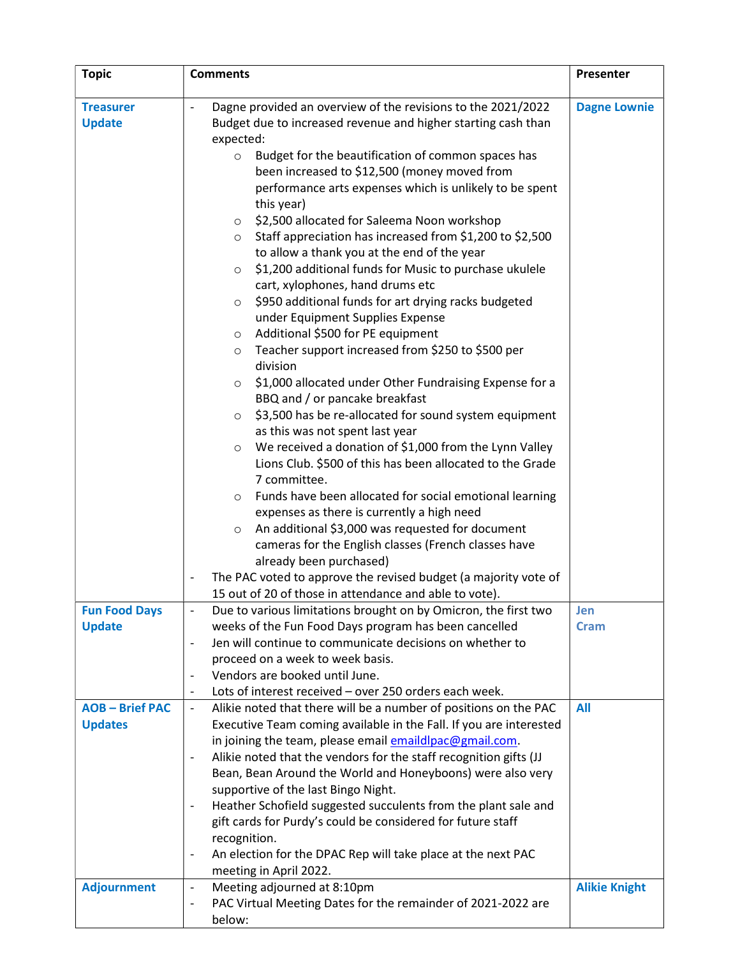| <b>Topic</b>         | <b>Comments</b>                                                                                                               | Presenter            |
|----------------------|-------------------------------------------------------------------------------------------------------------------------------|----------------------|
| <b>Treasurer</b>     | Dagne provided an overview of the revisions to the 2021/2022<br>$\overline{\phantom{a}}$                                      | <b>Dagne Lownie</b>  |
| <b>Update</b>        | Budget due to increased revenue and higher starting cash than                                                                 |                      |
|                      | expected:                                                                                                                     |                      |
|                      | Budget for the beautification of common spaces has<br>$\circ$                                                                 |                      |
|                      | been increased to \$12,500 (money moved from<br>performance arts expenses which is unlikely to be spent                       |                      |
|                      | this year)                                                                                                                    |                      |
|                      | \$2,500 allocated for Saleema Noon workshop<br>$\circ$                                                                        |                      |
|                      | Staff appreciation has increased from \$1,200 to \$2,500<br>$\circ$                                                           |                      |
|                      | to allow a thank you at the end of the year                                                                                   |                      |
|                      | \$1,200 additional funds for Music to purchase ukulele<br>$\circ$                                                             |                      |
|                      | cart, xylophones, hand drums etc                                                                                              |                      |
|                      | \$950 additional funds for art drying racks budgeted<br>$\circ$                                                               |                      |
|                      | under Equipment Supplies Expense                                                                                              |                      |
|                      | Additional \$500 for PE equipment<br>$\circ$                                                                                  |                      |
|                      | Teacher support increased from \$250 to \$500 per<br>$\circ$                                                                  |                      |
|                      | division                                                                                                                      |                      |
|                      | \$1,000 allocated under Other Fundraising Expense for a<br>$\circ$                                                            |                      |
|                      | BBQ and / or pancake breakfast                                                                                                |                      |
|                      | \$3,500 has be re-allocated for sound system equipment<br>$\circ$                                                             |                      |
|                      | as this was not spent last year                                                                                               |                      |
|                      | We received a donation of \$1,000 from the Lynn Valley<br>$\circ$                                                             |                      |
|                      | Lions Club. \$500 of this has been allocated to the Grade                                                                     |                      |
|                      | 7 committee.                                                                                                                  |                      |
|                      | Funds have been allocated for social emotional learning<br>$\circ$                                                            |                      |
|                      | expenses as there is currently a high need                                                                                    |                      |
|                      | An additional \$3,000 was requested for document<br>$\circ$                                                                   |                      |
|                      | cameras for the English classes (French classes have                                                                          |                      |
|                      | already been purchased)                                                                                                       |                      |
|                      | The PAC voted to approve the revised budget (a majority vote of                                                               |                      |
|                      | 15 out of 20 of those in attendance and able to vote).                                                                        |                      |
| <b>Fun Food Days</b> | Due to various limitations brought on by Omicron, the first two                                                               | Jen                  |
| <b>Update</b>        | weeks of the Fun Food Days program has been cancelled                                                                         | <b>Cram</b>          |
|                      | Jen will continue to communicate decisions on whether to<br>$\overline{\phantom{a}}$                                          |                      |
|                      | proceed on a week to week basis.                                                                                              |                      |
|                      | Vendors are booked until June.                                                                                                |                      |
|                      | Lots of interest received - over 250 orders each week.<br>$\overline{\phantom{a}}$                                            |                      |
| <b>AOB-Brief PAC</b> | Alikie noted that there will be a number of positions on the PAC<br>$\overline{\phantom{a}}$                                  | All                  |
| <b>Updates</b>       | Executive Team coming available in the Fall. If you are interested                                                            |                      |
|                      | in joining the team, please email emaildlpac@gmail.com.                                                                       |                      |
|                      | Alikie noted that the vendors for the staff recognition gifts (JJ<br>$\overline{\phantom{a}}$                                 |                      |
|                      | Bean, Bean Around the World and Honeyboons) were also very                                                                    |                      |
|                      | supportive of the last Bingo Night.                                                                                           |                      |
|                      | Heather Schofield suggested succulents from the plant sale and<br>gift cards for Purdy's could be considered for future staff |                      |
|                      | recognition.                                                                                                                  |                      |
|                      | An election for the DPAC Rep will take place at the next PAC<br>$\qquad \qquad \blacksquare$                                  |                      |
|                      | meeting in April 2022.                                                                                                        |                      |
| <b>Adjournment</b>   | Meeting adjourned at 8:10pm<br>$\overline{\phantom{a}}$                                                                       | <b>Alikie Knight</b> |
|                      | PAC Virtual Meeting Dates for the remainder of 2021-2022 are<br>$\overline{\phantom{a}}$                                      |                      |
|                      | below:                                                                                                                        |                      |
|                      |                                                                                                                               |                      |